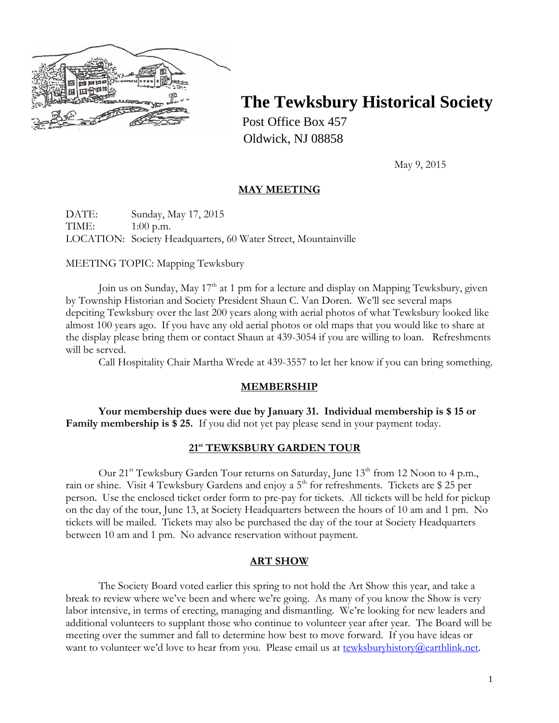

# **The Tewksbury Historical Society**

Post Office Box 457 Oldwick, NJ 08858

May 9, 2015

# **MAY MEETING**

DATE: Sunday, May 17, 2015 TIME: 1:00 p.m. LOCATION: Society Headquarters, 60 Water Street, Mountainville

## MEETING TOPIC: Mapping Tewksbury

Join us on Sunday, May  $17<sup>th</sup>$  at 1 pm for a lecture and display on Mapping Tewksbury, given by Township Historian and Society President Shaun C. Van Doren. We'll see several maps depciting Tewksbury over the last 200 years along with aerial photos of what Tewksbury looked like almost 100 years ago. If you have any old aerial photos or old maps that you would like to share at the display please bring them or contact Shaun at 439-3054 if you are willing to loan. Refreshments will be served.

Call Hospitality Chair Martha Wrede at 439-3557 to let her know if you can bring something.

## **MEMBERSHIP**

**Your membership dues were due by January 31. Individual membership is \$ 15 or Family membership is \$ 25.** If you did not yet pay please send in your payment today.

## **21st TEWKSBURY GARDEN TOUR**

Our 21<sup>st</sup> Tewksbury Garden Tour returns on Saturday, June 13<sup>th</sup> from 12 Noon to 4 p.m., rain or shine. Visit 4 Tewksbury Gardens and enjoy a 5<sup>th</sup> for refreshments. Tickets are \$ 25 per person. Use the enclosed ticket order form to pre-pay for tickets. All tickets will be held for pickup on the day of the tour, June 13, at Society Headquarters between the hours of 10 am and 1 pm. No tickets will be mailed. Tickets may also be purchased the day of the tour at Society Headquarters between 10 am and 1 pm. No advance reservation without payment.

## **ART SHOW**

The Society Board voted earlier this spring to not hold the Art Show this year, and take a break to review where we've been and where we're going. As many of you know the Show is very labor intensive, in terms of erecting, managing and dismantling. We're looking for new leaders and additional volunteers to supplant those who continue to volunteer year after year. The Board will be meeting over the summer and fall to determine how best to move forward. If you have ideas or want to volunteer we'd love to hear from you. Please email us at [tewksburyhistory@earthlink.net.](mailto:tewksburyhistory@earthlink.net)